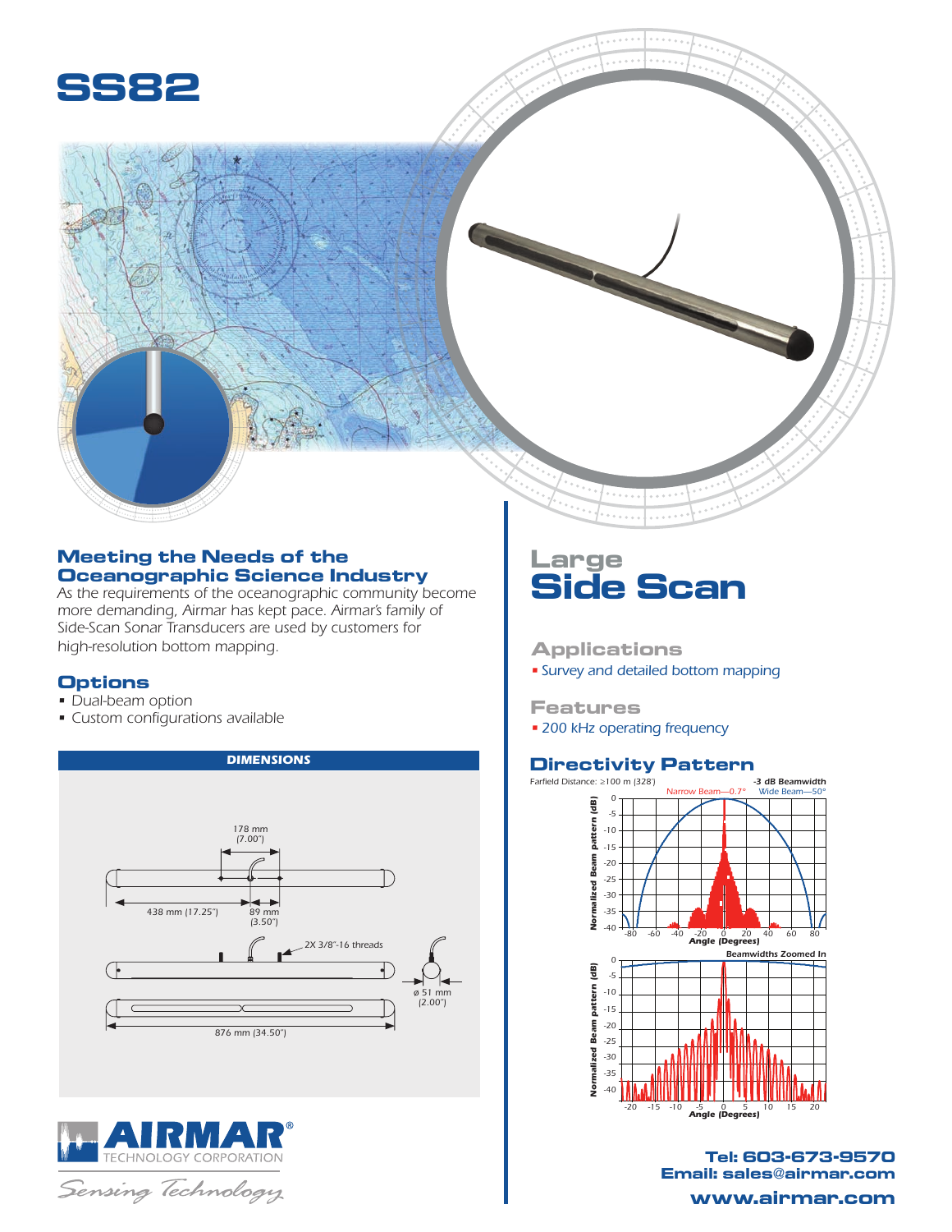

## **Meeting the Needs of the Oceanographic Science Industry**

*As the requirements of the oceanographic community become more demanding, Airmar has kept pace. Airmar's family of Side-Scan Sonar Transducers are used by customers for high-resolution bottom mapping.*

*DIMENSIONS*

## **Options**

- Dual-beam option
- Custom configurations available





# **Large Side Scan**

## **Applications**

• *Survey and detailed bottom mapping*

#### **Features**

• *200 kHz operating frequency*

## **Directivity Pattern**



**Tel: 603-673-9570 Email: sales@airmar.com www.airmar.com**